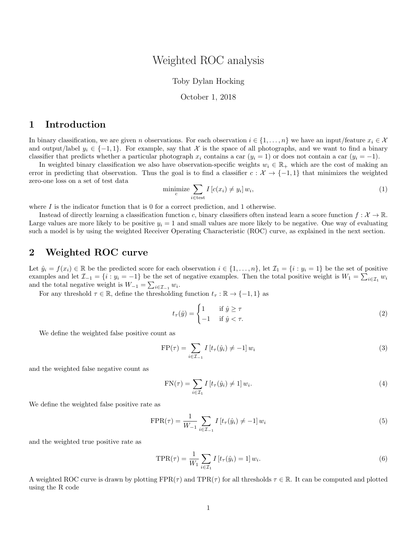## Weighted ROC analysis

#### Toby Dylan Hocking

#### October 1, 2018

### 1 Introduction

In binary classification, we are given n observations. For each observation  $i \in \{1, \ldots, n\}$  we have an input/feature  $x_i \in \mathcal{X}$ and output/label  $y_i \in \{-1, 1\}$ . For example, say that X is the space of all photographs, and we want to find a binary classifier that predicts whether a particular photograph  $x_i$  contains a car  $(y_i = 1)$  or does not contain a car  $(y_i = -1)$ .

In weighted binary classification we also have observation-specific weights  $w_i \in \mathbb{R}_+$  which are the cost of making an error in predicting that observation. Thus the goal is to find a classifier  $c : \mathcal{X} \to \{-1,1\}$  that minimizes the weighted zero-one loss on a set of test data

$$
\underset{c}{\text{minimize}} \sum_{i \in \text{test}} I \left[ c(x_i) \neq y_i \right] w_i,\tag{1}
$$

where  $I$  is the indicator function that is 0 for a correct prediction, and 1 otherwise.

Instead of directly learning a classification function c, binary classifiers often instead learn a score function  $f: \mathcal{X} \to \mathbb{R}$ . Large values are more likely to be positive  $y_i = 1$  and small values are more likely to be negative. One way of evaluating such a model is by using the weighted Receiver Operating Characteristic (ROC) curve, as explained in the next section.

### 2 Weighted ROC curve

Let  $\hat{y}_i = f(x_i) \in \mathbb{R}$  be the predicted score for each observation  $i \in \{1, \ldots, n\}$ , let  $\mathcal{I}_1 = \{i : y_i = 1\}$  be the set of positive examples and let  $\mathcal{I}_{-1} = \{i : y_i = -1\}$  be the set of negative examples. Then the total positive weight is  $W_1 = \sum_{i \in \mathcal{I}_1} w_i$ and the total negative weight is  $W_{-1} = \sum_{i \in \mathcal{I}_{-1}} w_i$ .

For any threshold  $\tau \in \mathbb{R}$ , define the thresholding function  $t_{\tau} : \mathbb{R} \to \{-1, 1\}$  as

$$
t_{\tau}(\hat{y}) = \begin{cases} 1 & \text{if } \hat{y} \ge \tau \\ -1 & \text{if } \hat{y} < \tau. \end{cases}
$$
 (2)

We define the weighted false positive count as

$$
\text{FP}(\tau) = \sum_{i \in \mathcal{I}_{-1}} I \left[ t_{\tau}(\hat{y}_i) \neq -1 \right] w_i \tag{3}
$$

and the weighted false negative count as

$$
FN(\tau) = \sum_{i \in \mathcal{I}_1} I[t_\tau(\hat{y}_i) \neq 1] w_i.
$$
\n(4)

We define the weighted false positive rate as

$$
FPR(\tau) = \frac{1}{W_{-1}} \sum_{i \in \mathcal{I}_{-1}} I[t_{\tau}(\hat{y}_i) \neq -1] w_i
$$
\n(5)

and the weighted true positive rate as

$$
\text{TPR}(\tau) = \frac{1}{W_1} \sum_{i \in \mathcal{I}_1} I \left[ t_\tau(\hat{y}_i) = 1 \right] w_i.
$$
 (6)

A weighted ROC curve is drawn by plotting  $FPR(\tau)$  and  $TPR(\tau)$  for all thresholds  $\tau \in \mathbb{R}$ . It can be computed and plotted using the R code